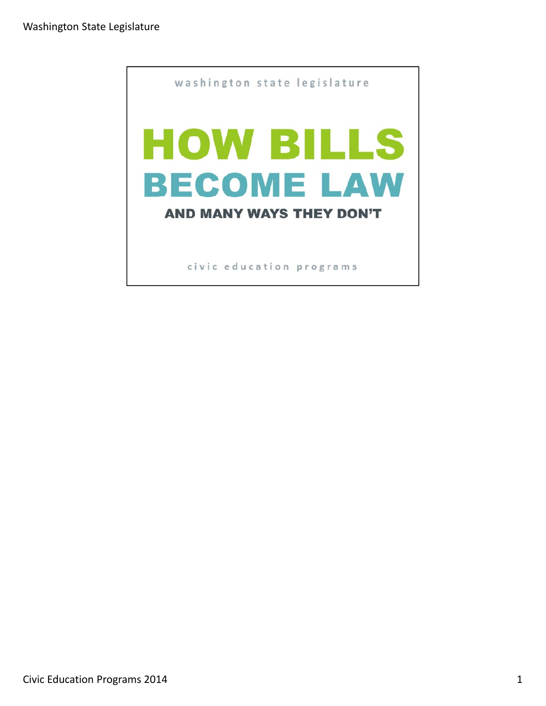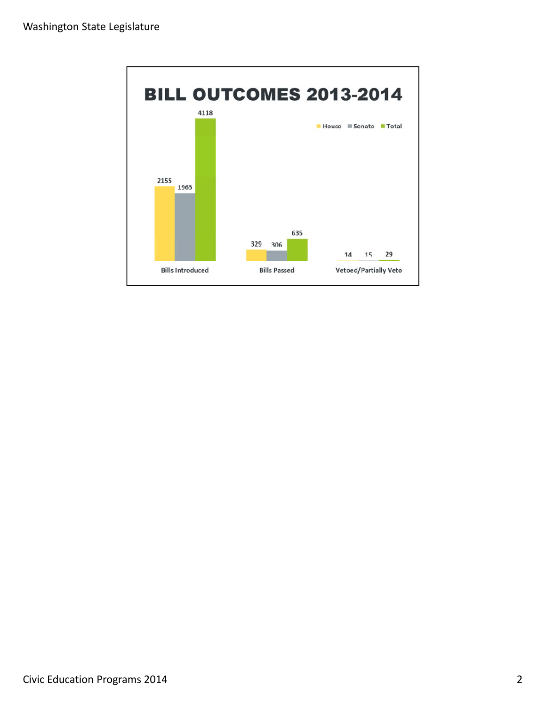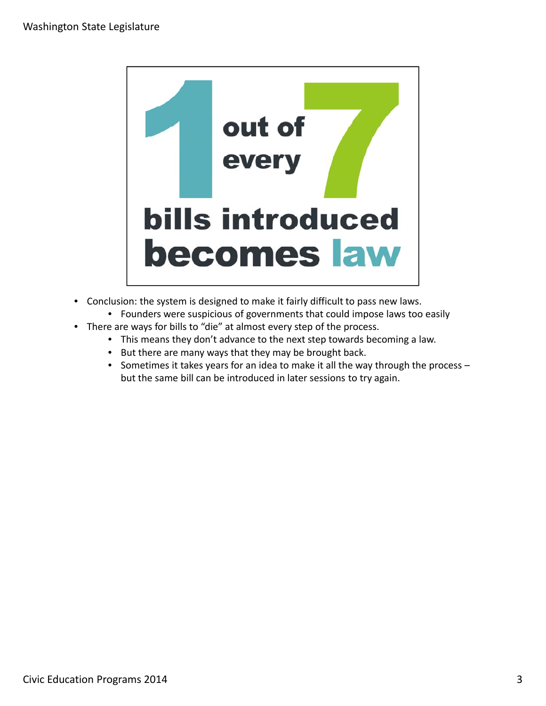

- Conclusion: the system is designed to make it fairly difficult to pass new laws.
	- Founders were suspicious of governments that could impose laws too easily
- There are ways for bills to "die" at almost every step of the process.
	- This means they don't advance to the next step towards becoming a law.
	- But there are many ways that they may be brought back.
	- Sometimes it takes years for an idea to make it all the way through the process but the same bill can be introduced in later sessions to try again.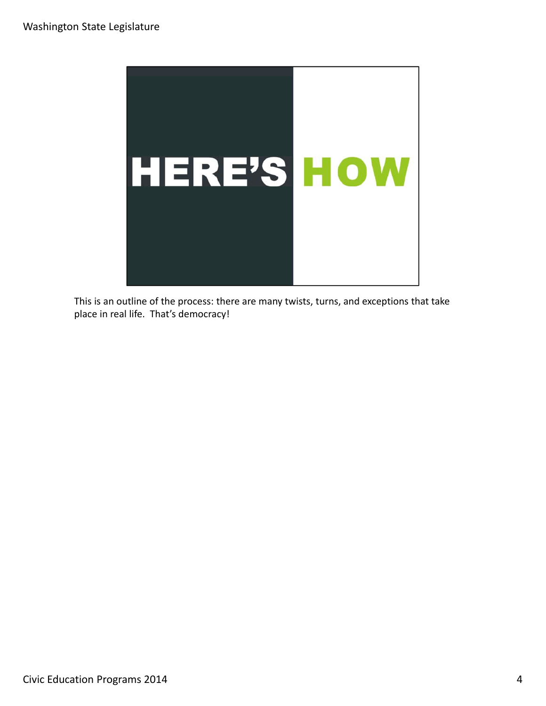

This is an outline of the process: there are many twists, turns, and exceptions that take place in real life. That's democracy!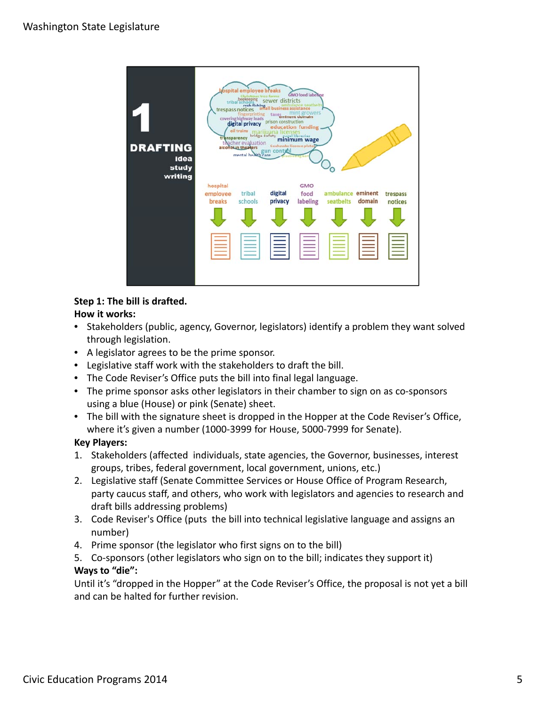

## **Step 1: The bill is drafted.**

## **How it works:**

- Stakeholders (public, agency, Governor, legislators) identify a problem they want solved through legislation.
- A legislator agrees to be the prime sponsor.
- Legislative staff work with the stakeholders to draft the bill.
- The Code Reviser's Office puts the bill into final legal language.
- The prime sponsor asks other legislators in their chamber to sign on as co-sponsors using a blue (House) or pink (Senate) sheet.
- The bill with the signature sheet is dropped in the Hopper at the Code Reviser's Office, where it's given a number (1000‐3999 for House, 5000‐7999 for Senate).

## **Key Players:**

- 1. Stakeholders (affected individuals, state agencies, the Governor, businesses, interest groups, tribes, federal government, local government, unions, etc.)
- 2. Legislative staff (Senate Committee Services or House Office of Program Research, party caucus staff, and others, who work with legislators and agencies to research and draft bills addressing problems)
- 3. Code Reviser's Office (puts the bill into technical legislative language and assigns an number)
- 4. Prime sponsor (the legislator who first signs on to the bill)
- 5. Co-sponsors (other legislators who sign on to the bill; indicates they support it)

# **Ways to "die":**

Until it's "dropped in the Hopper" at the Code Reviser's Office, the proposal is not yet a bill and can be halted for further revision.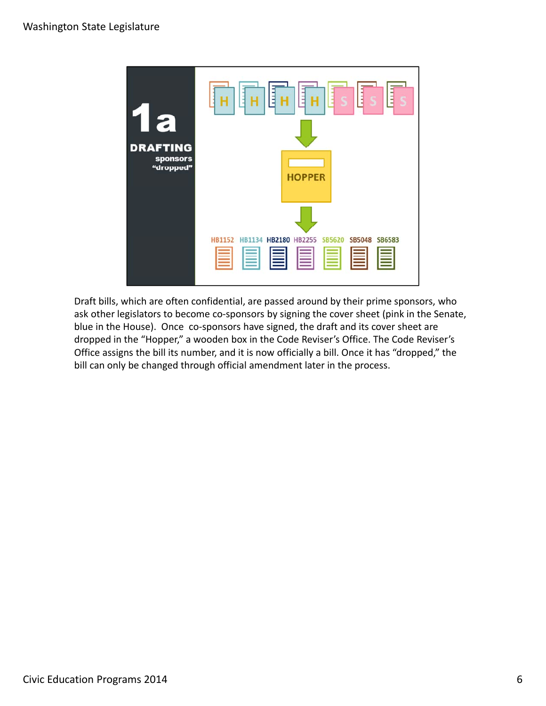

Draft bills, which are often confidential, are passed around by their prime sponsors, who ask other legislators to become co-sponsors by signing the cover sheet (pink in the Senate, blue in the House). Once co-sponsors have signed, the draft and its cover sheet are dropped in the "Hopper," a wooden box in the Code Reviser's Office. The Code Reviser's Office assigns the bill its number, and it is now officially a bill. Once it has "dropped," the bill can only be changed through official amendment later in the process.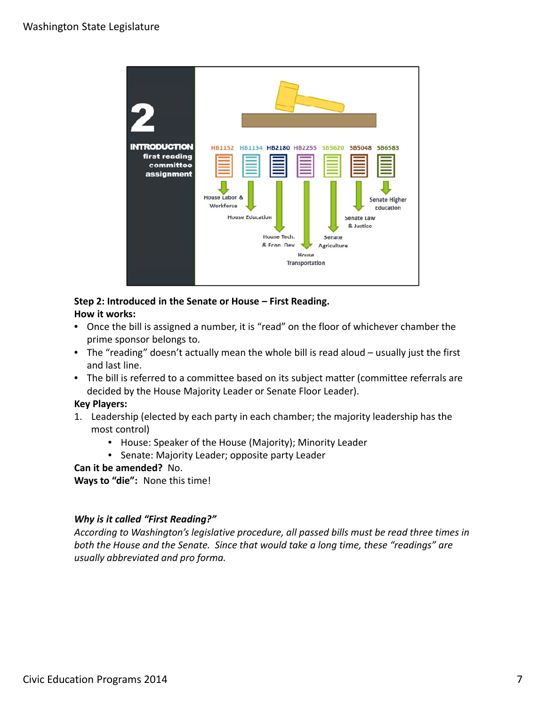

#### **Step 2: Introduced in the Senate or House – First Reading. How it works:**

- Once the bill is assigned a number, it is "read" on the floor of whichever chamber the prime sponsor belongs to.
- The "reading" doesn't actually mean the whole bill is read aloud usually just the first and last line.
- The bill is referred to a committee based on its subject matter (committee referrals are decided by the House Majority Leader or Senate Floor Leader).

## **Key Players:**

- 1. Leadership (elected by each party in each chamber; the majority leadership has the most control)
	- House: Speaker of the House (Majority); Minority Leader
	- Senate: Majority Leader; opposite party Leader

# **Can it be amended?** No.

**Ways to "die":** None this time!

# *Why is it called "First Reading?"*

*According to Washington's legislative procedure, all passed bills must be read three times in both the House and the Senate. Since that would take a long time, these "readings" are usually abbreviated and pro forma.*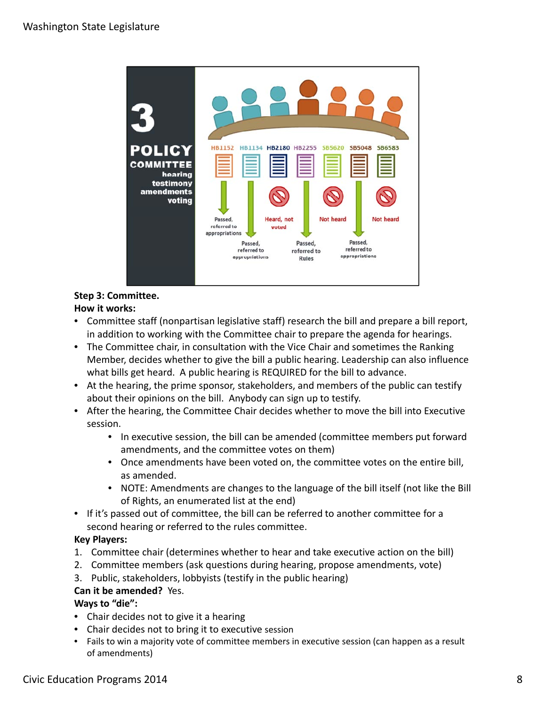

## **Step 3: Committee. How it works:**

- Committee staff (nonpartisan legislative staff) research the bill and prepare a bill report, in addition to working with the Committee chair to prepare the agenda for hearings.
- The Committee chair, in consultation with the Vice Chair and sometimes the Ranking Member, decides whether to give the bill a public hearing. Leadership can also influence what bills get heard. A public hearing is REQUIRED for the bill to advance.
- At the hearing, the prime sponsor, stakeholders, and members of the public can testify about their opinions on the bill. Anybody can sign up to testify.
- After the hearing, the Committee Chair decides whether to move the bill into Executive session.
	- In executive session, the bill can be amended (committee members put forward amendments, and the committee votes on them)
	- Once amendments have been voted on, the committee votes on the entire bill, as amended.
	- NOTE: Amendments are changes to the language of the bill itself (not like the Bill of Rights, an enumerated list at the end)
- If it's passed out of committee, the bill can be referred to another committee for a second hearing or referred to the rules committee.

# **Key Players:**

- 1. Committee chair (determines whether to hear and take executive action on the bill)
- 2. Committee members (ask questions during hearing, propose amendments, vote)
- 3. Public, stakeholders, lobbyists (testify in the public hearing) **Can it be amended?** Yes.

# **Ways to "die":**

- Chair decides not to give it a hearing
- Chair decides not to bring it to executive session
- Fails to win a majority vote of committee members in executive session (can happen as a result of amendments)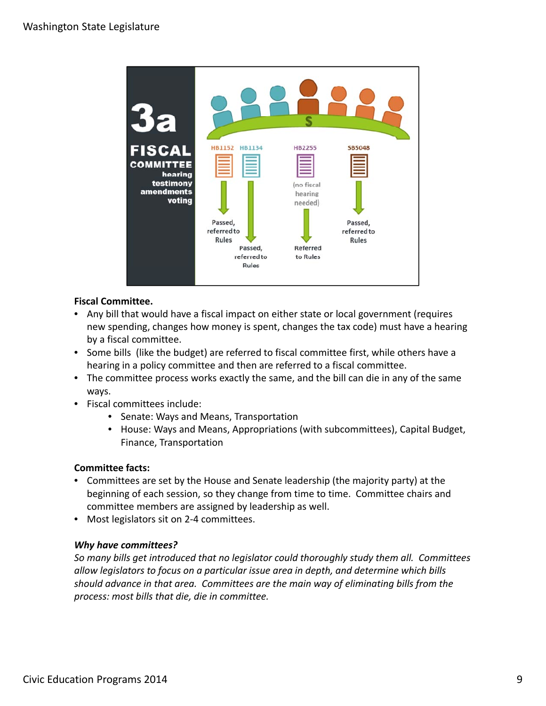

## **Fiscal Committee.**

- Any bill that would have a fiscal impact on either state or local government (requires new spending, changes how money is spent, changes the tax code) must have a hearing by a fiscal committee.
- Some bills (like the budget) are referred to fiscal committee first, while others have a hearing in a policy committee and then are referred to a fiscal committee.
- The committee process works exactly the same, and the bill can die in any of the same ways.
- Fiscal committees include:
	- Senate: Ways and Means, Transportation
	- House: Ways and Means, Appropriations (with subcommittees), Capital Budget, Finance, Transportation

## **Committee facts:**

- Committees are set by the House and Senate leadership (the majority party) at the beginning of each session, so they change from time to time. Committee chairs and committee members are assigned by leadership as well.
- Most legislators sit on 2-4 committees.

## *Why have committees?*

*So many bills get introduced that no legislator could thoroughly study them all. Committees allow legislators to focus on a particular issue area in depth, and determine which bills should advance in that area. Committees are the main way of eliminating bills from the process: most bills that die, die in committee.*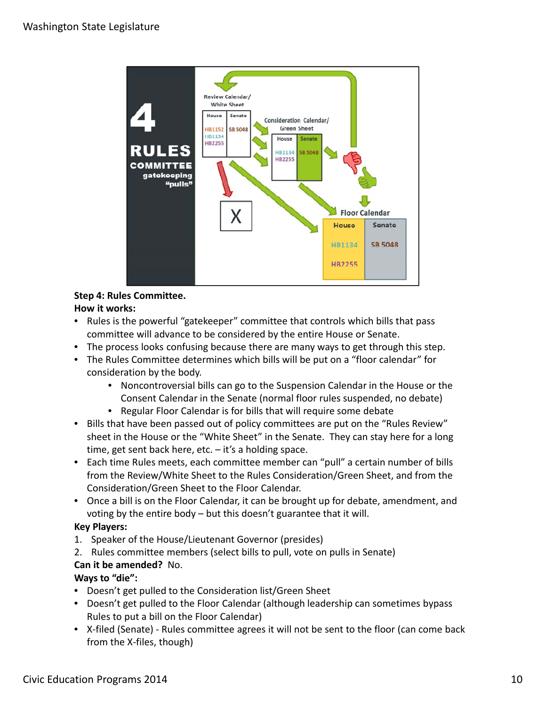

#### **Step 4: Rules Committee. How it works:**

- Rules is the powerful "gatekeeper" committee that controls which bills that pass committee will advance to be considered by the entire House or Senate.
- The process looks confusing because there are many ways to get through this step.
- The Rules Committee determines which bills will be put on a "floor calendar" for consideration by the body.
	- Noncontroversial bills can go to the Suspension Calendar in the House or the Consent Calendar in the Senate (normal floor rules suspended, no debate)
	- Regular Floor Calendar is for bills that will require some debate
- Bills that have been passed out of policy committees are put on the "Rules Review" sheet in the House or the "White Sheet" in the Senate. They can stay here for a long time, get sent back here, etc. – it's a holding space.
- Each time Rules meets, each committee member can "pull" a certain number of bills from the Review/White Sheet to the Rules Consideration/Green Sheet, and from the Consideration/Green Sheet to the Floor Calendar.
- Once a bill is on the Floor Calendar, it can be brought up for debate, amendment, and voting by the entire body – but this doesn't guarantee that it will.

# **Key Players:**

- 1. Speaker of the House/Lieutenant Governor (presides)
- 2. Rules committee members (select bills to pull, vote on pulls in Senate)

# **Can it be amended?** No.

## **Ways to "die":**

- Doesn't get pulled to the Consideration list/Green Sheet
- Doesn't get pulled to the Floor Calendar (although leadership can sometimes bypass Rules to put a bill on the Floor Calendar)
- X-filed (Senate) Rules committee agrees it will not be sent to the floor (can come back from the X‐files, though)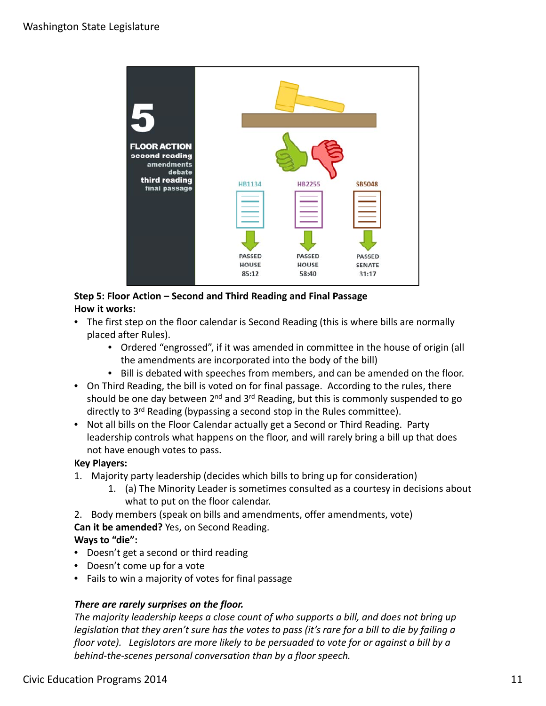

# **Step 5: Floor Action – Second and Third Reading and Final Passage How it works:**

- The first step on the floor calendar is Second Reading (this is where bills are normally placed after Rules).
	- Ordered "engrossed", if it was amended in committee in the house of origin (all the amendments are incorporated into the body of the bill)
	- Bill is debated with speeches from members, and can be amended on the floor.
- On Third Reading, the bill is voted on for final passage. According to the rules, there should be one day between  $2^{nd}$  and  $3^{rd}$  Reading, but this is commonly suspended to go directly to 3<sup>rd</sup> Reading (bypassing a second stop in the Rules committee).
- Not all bills on the Floor Calendar actually get a Second or Third Reading. Party leadership controls what happens on the floor, and will rarely bring a bill up that does not have enough votes to pass.

# **Key Players:**

- 1. Majority party leadership (decides which bills to bring up for consideration)
	- 1. (a) The Minority Leader is sometimes consulted as a courtesy in decisions about what to put on the floor calendar.
- 2. Body members (speak on bills and amendments, offer amendments, vote)

# **Can it be amended?** Yes, on Second Reading.

# **Ways to "die":**

- Doesn't get a second or third reading
- Doesn't come up for a vote
- Fails to win a majority of votes for final passage

## *There are rarely surprises on the floor.*

*The majority leadership keeps a close count of who supports a bill, and does not bring up* legislation that they aren't sure has the votes to pass (it's rare for a bill to die by failing a floor vote). Legislators are more likely to be persuaded to vote for or against a bill by a *behind‐the‐scenes personal conversation than by a floor speech.*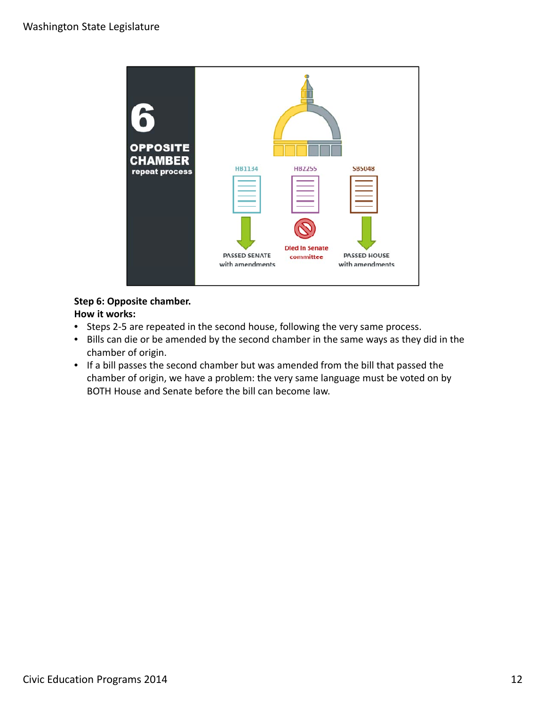

## **Step 6: Opposite chamber.**

**How it works:**

- Steps 2-5 are repeated in the second house, following the very same process.
- Bills can die or be amended by the second chamber in the same ways as they did in the chamber of origin.
- If a bill passes the second chamber but was amended from the bill that passed the chamber of origin, we have a problem: the very same language must be voted on by BOTH House and Senate before the bill can become law.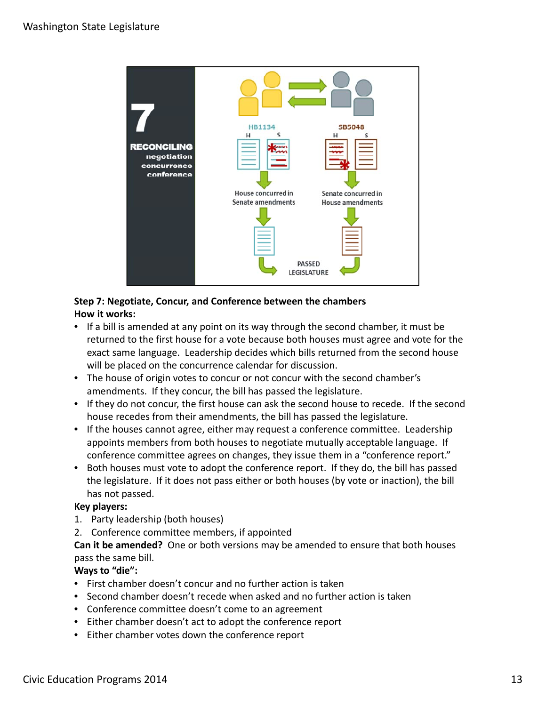

# **Step 7: Negotiate, Concur, and Conference between the chambers How it works:**

- If a bill is amended at any point on its way through the second chamber, it must be returned to the first house for a vote because both houses must agree and vote for the exact same language. Leadership decides which bills returned from the second house will be placed on the concurrence calendar for discussion.
- The house of origin votes to concur or not concur with the second chamber's amendments. If they concur, the bill has passed the legislature.
- If they do not concur, the first house can ask the second house to recede. If the second house recedes from their amendments, the bill has passed the legislature.
- If the houses cannot agree, either may request a conference committee. Leadership appoints members from both houses to negotiate mutually acceptable language. If conference committee agrees on changes, they issue them in a "conference report."
- Both houses must vote to adopt the conference report. If they do, the bill has passed the legislature. If it does not pass either or both houses (by vote or inaction), the bill has not passed.

## **Key players:**

- 1. Party leadership (both houses)
- 2. Conference committee members, if appointed

**Can it be amended?** One or both versions may be amended to ensure that both houses pass the same bill.

# **Ways to "die":**

- First chamber doesn't concur and no further action is taken
- Second chamber doesn't recede when asked and no further action is taken
- Conference committee doesn't come to an agreement
- Either chamber doesn't act to adopt the conference report
- Either chamber votes down the conference report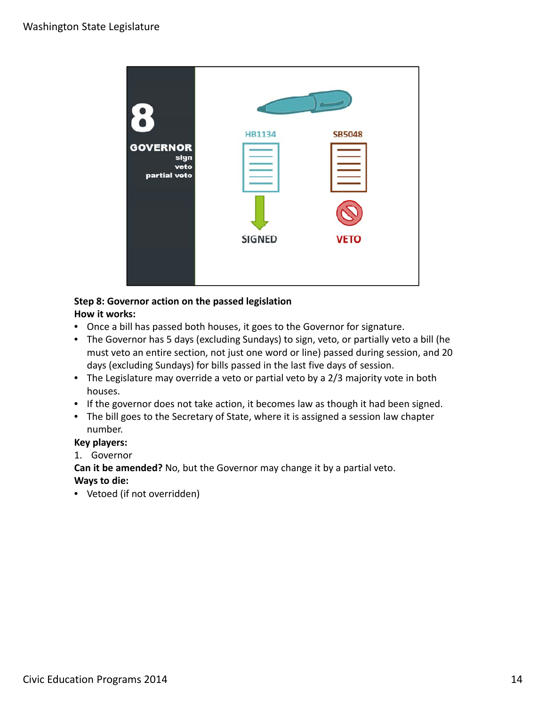

#### **Step 8: Governor action on the passed legislation How it works:**

- Once a bill has passed both houses, it goes to the Governor for signature.
- The Governor has 5 days (excluding Sundays) to sign, veto, or partially veto a bill (he must veto an entire section, not just one word or line) passed during session, and 20 days (excluding Sundays) for bills passed in the last five days of session.
- The Legislature may override a veto or partial veto by a 2/3 majority vote in both houses.
- If the governor does not take action, it becomes law as though it had been signed.
- The bill goes to the Secretary of State, where it is assigned a session law chapter number.

## **Key players:**

- 1. Governor
- **Can it be amended?** No, but the Governor may change it by a partial veto.

# **Ways to die:**

• Vetoed (if not overridden)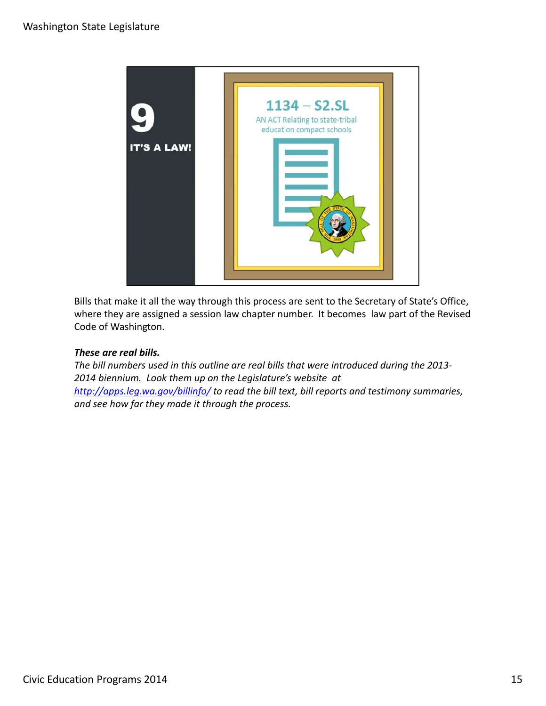

Bills that make it all the way through this process are sent to the Secretary of State's Office, where they are assigned a session law chapter number. It becomes law part of the Revised Code of Washington.

## *These are real bills.*

*The bill numbers used in this outline are real bills that were introduced during the 2013‐ 2014 biennium. Look them up on the Legislature's website at http://apps.leg.wa.gov/billinfo/ to read the bill text, bill reports and testimony summaries, and see how far they made it through the process.*